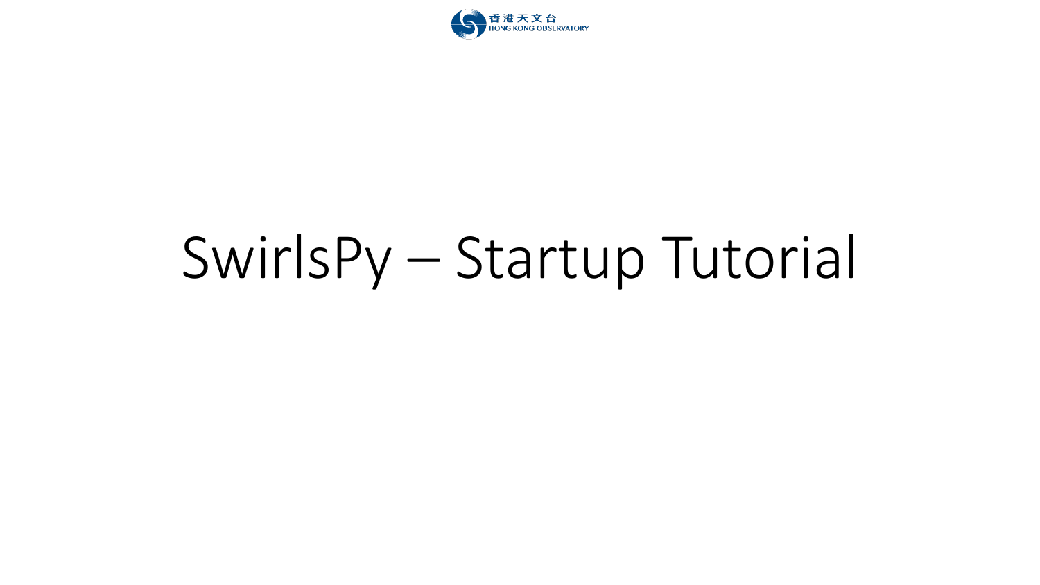

# SwirlsPy - Startup Tutorial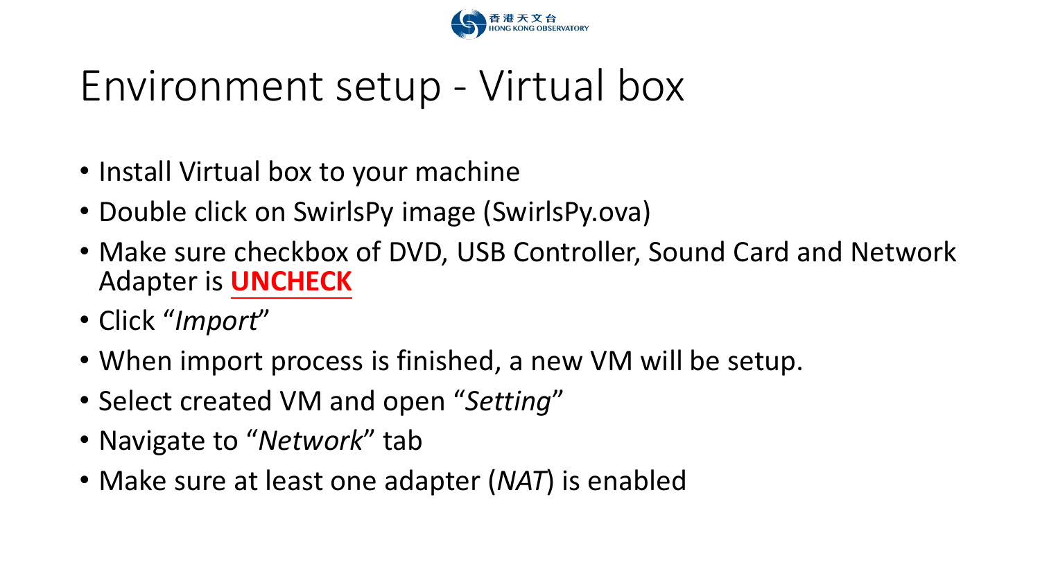

## Environment setup - Virtual box

- Install Virtual box to your machine
- Double click on SwirlsPy image (SwirlsPy.ova)
- Make sure checkbox of DVD, USB Controller, Sound Card and Network Adapter is **UNCHECK**
- Click "*Import*"
- When import process is finished, a new VM will be setup.
- Select created VM and open "*Setting*"
- Navigate to "*Network*" tab
- Make sure at least one adapter (*NAT*) is enabled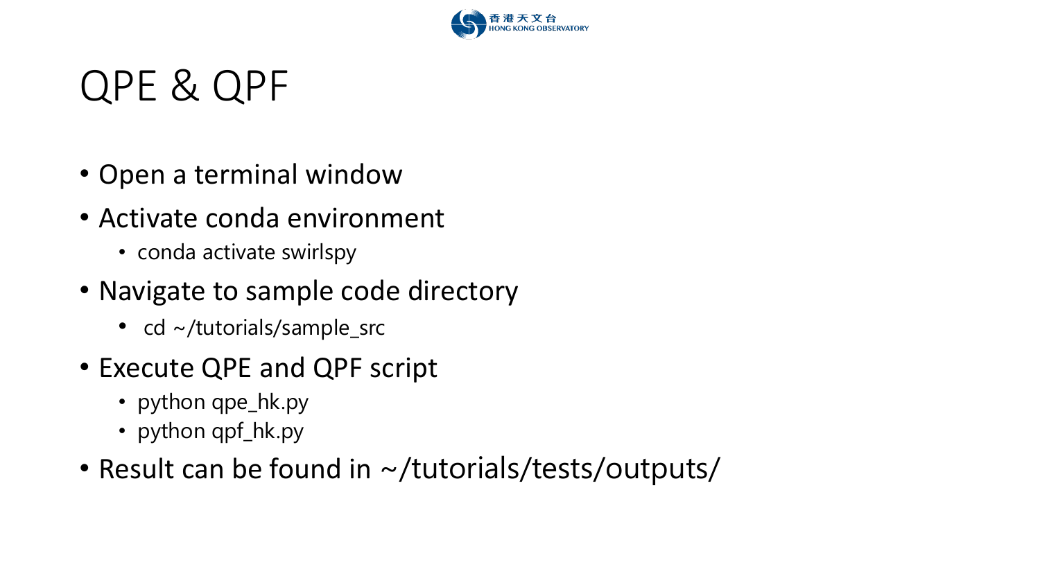

#### QPE & QPF

- Open a terminal window
- Activate conda environment
	- conda activate swirlspy
- Navigate to sample code directory
	- cd ~/tutorials/sample\_src
- Execute QPE and QPF script
	- python qpe\_hk.py
	- python qpf\_hk.py
- Result can be found in ~/tutorials/tests/outputs/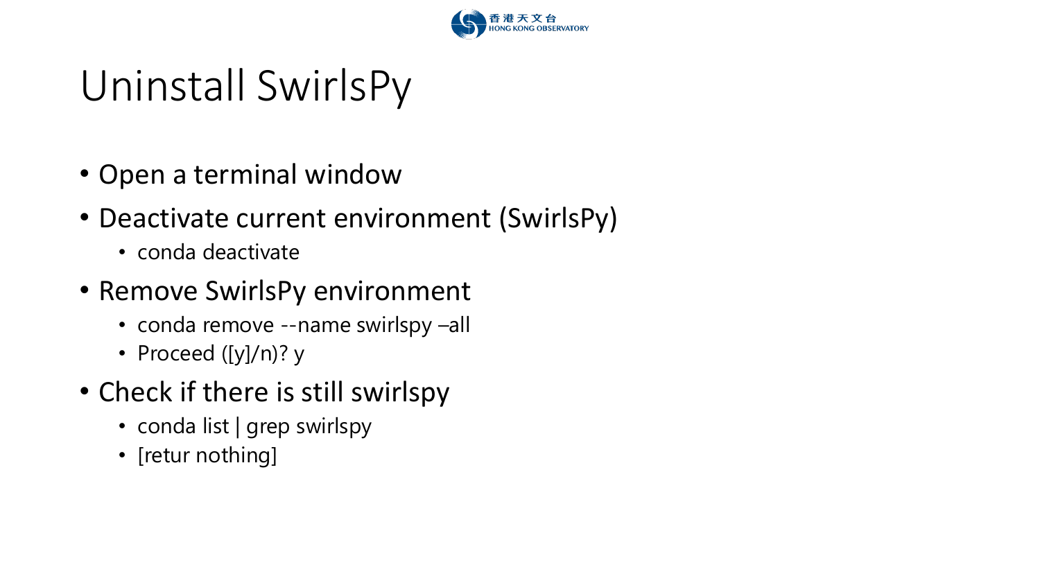

# Uninstall SwirlsPy

- Open a terminal window
- Deactivate current environment (SwirlsPy)
	- conda deactivate
- Remove SwirlsPy environment
	- conda remove --name swirlspy –all
	- Proceed ([y]/n)? y
- Check if there is still swirlspy
	- conda list | grep swirlspy
	- [retur nothing]